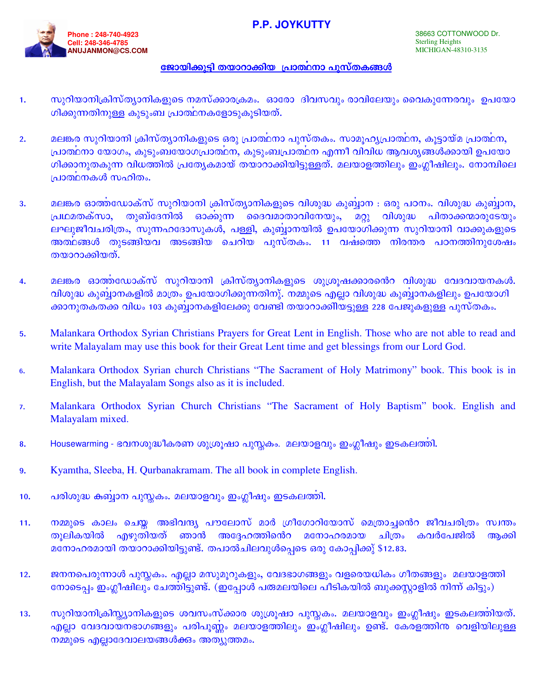## **P.P. JOYKUTTY**



## <u>ജോയിക്കുട്ടി തയാറാക്കിയ പ്രാത്ഥനാ പുസ്തകങ്ങൾ</u>

- സുറിയാനിക്രിസ്ത്യാനികളുടെ നമസ്ക്കാരക്രമം. ഓരോ ദിവസവും രാവിലേയും വൈകുന്നേരവും ഉപയോ  $1.$ ഗിക്കുന്നതിനുള്ള കുടുംബ പ്രാത്ഥനകളോടുകൂടിയത്.
- മലങ്കര സുറിയാനി ക്രിസ്ത്യാനികളുടെ ഒരു പ്രാത്ഥനാ പുസ്തകം. സാമുഹൃപ്രാത്ഥന, കൂട്ടായ്മ പ്രാത്ഥന,  $2.$ പ്രാത്ഥനാ യോഗം, കുടുംബയോഗപ്രാത്ഥന, കുടുംബപ്രാത്ഥന എന്നീ വിവിധ ആവശ്യങ്ങൾക്കായി ഉപയോ ഗിക്കാനുതകുന്ന വിധത്തിൽ പ്രത്യേകമായ് തയാറാക്കിയിട്ടുള്ളത്. മലയാളത്തിലും ഇംഗ്ലീഷിലും. നോമ്പിലെ പ്രാത്ഥനകൾ സഹിതം.
- മലങ്കര ഓത്തഡോക്സ് സുറിയാനി ക്രിസ്ത്യാനികളുടെ വിശുദ്ധ കുബ്ബാന : ഒരു പഠനം. വിശുദ്ധ കുബ്ബാന,  $3.$ <u>പ്രഥമതക്സാ,</u> തുബ്ദേനിൽ ഓക്കുന്ന ദൈവമാതാവിനേയും, മറ്റു വിശുദ്ധ <u>പിതാക്കന്മാരുടേയും</u> ലഘുജീവചരിത്രം, സുന്നഹദോസുകൾ, പള്ളി, കുബ്ബാനയിൽ ഉപയോഗിക്കുന്ന സുറിയാനി വാക്കുകളുടെ അത്ഥങ്ങൾ തുടങ്ങിയവ അടങ്ങിയ ചെറിയ പുസ്തകം. 11 വഷത്തെ നിരന്തര പഠനത്തിനുശേഷം തയാറാക്കിയത്.
- മലങ്കര ഓത്തഡോക്സ് സുറിയാനി ക്രിസ്ത്യാനികളുടെ ശുശ്രുഷക്കാരൻെറ വിശുദ്ധ വേദവായനകൾ.  $\overline{4}$ . വിശുദ്ധ കുബ്ബാനകളിൽ മാത്രം ഉപയോഗിക്കുന്നതിനു്. നമ്മുടെ എല്ലാ വിശുദ്ധ കുബ്ബാനകളിലും ഉപയോഗി ക്കാനുതകതക്ക വിധം 103 കുബ്ബാനകളിലേക്കു വേണ്ടി തയാറാക്കിിയട്ടുള്ള 228 പേജുകളുള്ള പുസ്തകം.
- Malankara Orthodox Syrian Christians Prayers for Great Lent in English. Those who are not able to read and 5. write Malayalam may use this book for their Great Lent time and get blessings from our Lord God.
- Malankara Orthodox Syrian church Christians "The Sacrament of Holy Matrimony" book. This book is in 6. English, but the Malayalam Songs also as it is included.
- Malankara Orthodox Syrian Church Christians "The Sacrament of Holy Baptism" book. English and  $\overline{7}$ . Malayalam mixed.
- Housewarming ഭവനശുദ്ധീകരണ ശുശ്രുഷാ പുസ്തകം. മലയാളവും ഇംഗ്ലീഷും ഇടകലത്തി. 8.
- Kyamtha, Sleeba, H. Qurbanakramam. The all book in complete English. 9.
- പരിശുദ്ധ കബ്ബാന പുസ്സകം. മലയാളവും ഇംഗ്ലീഷും ഇടകലത്തി.  $10.$
- നമ്മുടെ കാലം ചെയ്ത അഭിവന്ദ്യ പൗലോസ് മാർ ഗ്രീഗോറിയോസ് മെത്രാച്ചൻെറ ജീവചരിത്രം സ്വന്തം  $11.$ എഴുതിയത് അദ്ദേഹത്തിൻെറ തുലികയിൽ ഞാൻ മനോഹരമായ ചിത്രം കവർപേജിൽ ആക്കി മനോഹരമായി തയാറാക്കിയിട്ടുണ്ട്. തപാൽചിലവുൾപ്പെടെ ഒരു കോപ്പിക്കു് \$12.83.
- ജനനപെരുന്നാൾ പുസ്തകം. എല്ലാ മസുമൂറുകളും, വേദഭാഗങ്ങളും വളരെയധികം ഗീതങ്ങളും മലയാളത്തി  $12.$ നോടെപ്പം ഇംഗ്ലീഷിലും ചേത്തിട്ടുണ്ട്. (ഇപ്പോൾ പത്മലയിലെ പീടികയിൽ ബുക്കസ്റ്റാളിൽ നിന്ന് കിട്ടും)
- സുറിയാനിക്രിസ്റ്റ്യാനികളുടെ ശവസംസ്ക്കാര ശുശ്രൂഷാ പുസ്തകം. മലയാളവും ഇംഗ്ലീഷും ഇടകലത്തിയത്.  $13.$ എല്ലാ വേദവായനഭാഗങ്ങളും പരിപുണ്ണം മലയാളത്തിലും ഇംഗ്ലീഷിലും ഉണ്ട്. കേരളത്തിന വെളിയിലുള്ള നമ്മുടെ എല്ലാദേവാലയങ്ങൾക്കും അത്യുത്തമം.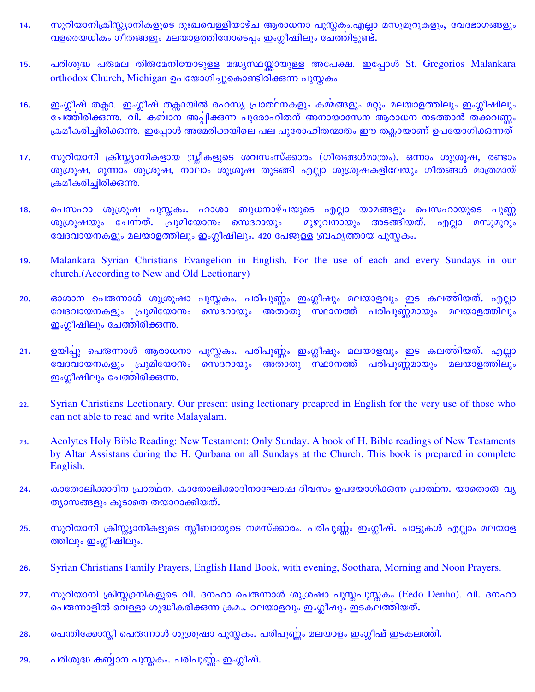- സുറിയാനിക്രിസ്റ്റ്യാനികളുടെ ദുഃഖവെള്ളിയാഴ്ച ആരാധനാ പുസ്തകം.എല്ലാ മസുമൂറുകളും, വേദഭാഗങ്ങളും 14. വളരെയധികം ഗീതങ്ങളും മലയാളത്തിനോടെപ്പം ഇംഗ്ലീഷിലും ചേത്തിട്ടുണ്ട്.
- പരിശുദ്ധ പത്മല തിതമേനിയോടുള്ള മദ്ധ്യസ്ഥയ്ക്കായുള്ള അപേക്ഷ. ഇപ്പോൾ St. Gregorios Malankara 15. orthodox Church, Michigan ഉപയോഗിച്ചുകൊണ്ടിരിക്കുന്ന പുസ്തകം
- ഇംഗ്ലീഷ് തക്കാ. ഇംഗ്ലീഷ് തക്കായിൽ രഹസ്യ പ്രാത്ഥനകളും കമ്മങ്ങളും മറ്റും മലയാളത്തിലും ഇംഗ്ലീഷിലും  $16.$ ചേത്തിരിക്കുന്നു. വി. കബാന അപ്പിക്കുന്ന പുരോഹിതന് അനായാസേന ആരാധന നടത്താൻ തക്കവണ്ണം ക്രമീകരിച്ചിരിക്കുന്നു. ഇപ്പോൾ അമേരിക്കയിലെ പല പുരോഹിതന്മാരും ഈ തക്ലായാണ് ഉപയോഗിക്കുന്നത്
- $17.$ സുറിയാനി ക്രിസ്ക്യാനികളായ സ്ത്രീകളുടെ ശവസംസ്ക്കാരം (ഗീതങ്ങൾമാത്രം). ഒന്നാം ശുശ്രൂഷ, രണ്ടാം ശുശ്രുഷ, മൂന്നാം ശുശ്രുഷ, നാലാം ശുശ്രുഷ തുടങ്ങി എല്ലാ ശുശ്രുഷകളിലേയും ഗീതങ്ങൾ മാത്രമായ് ക്രമീകരിച്ചിരിക്കുന്നു.
- പെസഹാ ശുശ്രൂഷ പുസ്തകം. ഹാശാ ബുധനാഴ്ചയുടെ എല്ലാ യാമങ്ങളും പെസഹായുടെ പൂണ്ണ 18. ശുശ്രൂഷയും ചേന്നത്. പ്രുമിയോനം സെദറായും മുഴുവനായും അടങ്ങിയത്. എല്ലാ മസുമുറും വേദവായനകളും മലയാളത്തിലും ഇംഗ്ലീഷിലും. 420 പേജുള്ള ബ്രഹൃത്തായ പുസ്തകം.
- Malankara Syrian Christians Evangelion in English. For the use of each and every Sundays in our 19. church. (According to New and Old Lectionary)
- ഓശാന പെരുന്നാൾ ശുശ്രൂഷാ പുസ്തകം. പരിപൂണ്ണം ഇംഗ്ലീഷും മലയാളവും ഇട കലത്തിയത്. എല്ലാ 20. വേദവായനകളും പ്രുമിയോനം സെദറായും അതാതു സ്ഥാനത്ത് പരിപുണ്ണമായും മലയാളത്തിലും ഇംഗ്ലീഷിലും ചേത്തിരിക്കുന്നു.
- $21.$ ഉയിപ്പു പെരുന്നാൾ ആരാധനാ പുസ്ലകം. പരിപുണ്ണം ഇംഗ്ലീഷും മലയാളവും ഇട കലത്തിയത്. എല്ലാ വേദവായനകളും പ്രുമിയോനം സെദറായും അതാതു സ്ഥാനത്ത് പരിപുണ്ണമായും മലയാളത്തിലും ഇംഗ്ലീഷിലും ചേത്തിരിക്കുന്നു.
- Syrian Christians Lectionary. Our present using lectionary preapred in English for the very use of those who  $22.$ can not able to read and write Malayalam.
- Acolytes Holy Bible Reading: New Testament: Only Sunday. A book of H. Bible readings of New Testaments 23. by Altar Assistans during the H. Qurbana on all Sundays at the Church. This book is prepared in complete English.
- കാതോലിക്കാദിന പ്രാത്ഥന. കാതോലിക്കാദിനാഘോഷ ദിവസം ഉപയോഗിക്കുന്ന പ്രാത്ഥന. യാതൊരു വ്യ  $24.$ ത്യാസങ്ങളും കൂടാതെ തയാറാക്കിയത്.
- സുറിയാനി ക്രിസ്റ്റ്യാനികളുടെ സ്ലീബായുടെ നമസ്ക്കാരം. പരിപൂണ്ണം ഇംഗ്ലീഷ്. പാട്ടുകൾ എല്ലാം മലയാള 25. ത്തിലും ഇംഗ്ലീഷിലും.
- Syrian Christians Family Prayers, English Hand Book, with evening, Soothara, Morning and Noon Prayers. 26.
- സുറിയാനി ക്രിസ്തഗ്രനികളുടെ വി. ദനഹാ പെരുന്നാൾ ശുശ്രഷാ പുസ്തപുസ്തകം (Eedo Denho). വി. ദനഹാ 27. പെരുന്നാളിൽ വെള്ളാ ശുദ്ധീകരിക്കുന്ന ക്രമം. ഠലയാളവും ഇംഗ്ലീഷും ഇടകലത്തിയത്.
- പെന്തിക്കോസ്തി പെരുന്നാൾ ശുശ്രൂഷാ പുസ്തകം. പരിപൂണ്ണം മലയാളം ഇംഗ്ലീഷ് ഇടകലത്തി. 28.
- പരിശുദ്ധ കബ്ബാന പുസ്ലകം. പരിപുണ്ണം ഇംഗ്ലീഷ്. 29.